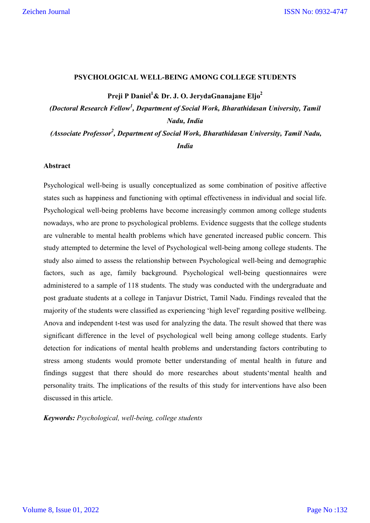#### **PSYCHOLOGICAL WELL-BEING AMONG COLLEGE STUDENTS**

**Preji P Daniel<sup>1</sup> & Dr. J. O. JerydaGnanajane Eljo2**

*(Doctoral Research Fellow<sup>1</sup> , Department of Social Work, Bharathidasan University, Tamil Nadu, India*

*(Associate Professor2 , Department of Social Work, Bharathidasan University, Tamil Nadu, India*

#### **Abstract**

Psychological well-being is usually conceptualized as some combination of positive affective states such as happiness and functioning with optimal effectiveness in individual and social life. Psychological well-being problems have become increasingly common among college students nowadays, who are prone to psychological problems. Evidence suggests that the college students are vulnerable to mental health problems which have generated increased public concern. This study attempted to determine the level of Psychological well-being among college students. The study also aimed to assess the relationship between Psychological well-being and demographic factors, such as age, family background. Psychological well-being questionnaires were administered to a sample of 118 students. The study was conducted with the undergraduate and post graduate students at a college in Tanjavur District, Tamil Nadu. Findings revealed that the majority of the students were classified as experiencing 'high level' regarding positive wellbeing. Anova and independent t-test was used for analyzing the data. The result showed that there was significant difference in the level of psychological well being among college students. Early detection for indications of mental health problems and understanding factors contributing to stress among students would promote better understanding of mental health in future and findings suggest that there should do more researches about students'mental health and personality traits. The implications of the results of this study for interventions have also been discussed in this article.

*Keywords: Psychological, well-being, college students*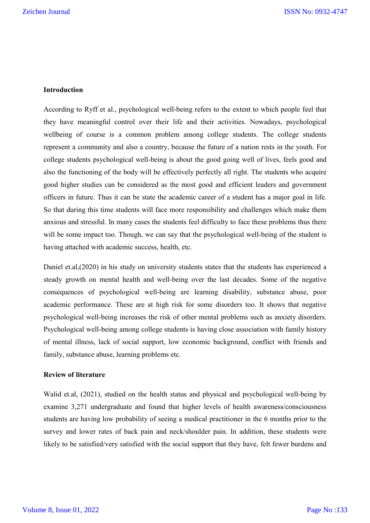## **Introduction**

According to Ryff et al., psychological well-being refers to the extent to which people feel that they have meaningful control over their life and their activities. Nowadays, psychological wellbeing of course is a common problem among college students. The college students represent a community and also a country, because the future of a nation rests in the youth. For college students psychological well-being is about the good going well of lives, feels good and also the functioning of the body will be effectively perfectly all right. The students who acquire good higher studies can be considered as the most good and efficient leaders and government officers in future. Thus it can be state the academic career of a student has a major goal in life. So that during this time students will face more responsibility and challenges which make them anxious and stressful. In many cases the students feel difficulty to face these problems thus there will be some impact too. Though, we can say that the psychological well-being of the student is having attached with academic success, health, etc.

Daniel et.al,(2020) in his study on university students states that the students has experienced a steady growth on mental health and well-being over the last decades. Some of the negative consequences of psychological well-being are learning disability, substance abuse, poor academic performance. These are at high risk for some disorders too. It shows that negative psychological well-being increases the risk of other mental problems such as anxiety disorders. Psychological well-being among college students is having close association with family history of mental illness, lack of social support, low economic background, conflict with friends and family, substance abuse, learning problems etc.

#### **Review of literature**

Walid et.al, (2021), studied on the health status and physical and psychological well-being by examine 3,271 undergraduate and found that higher levels of health awareness/consciousness students are having low probability of seeing a medical practitioner in the 6 months prior to the survey and lower rates of back pain and neck/shoulder pain. In addition, these students were likely to be satisfied/very satisfied with the social support that they have, felt fewer burdens and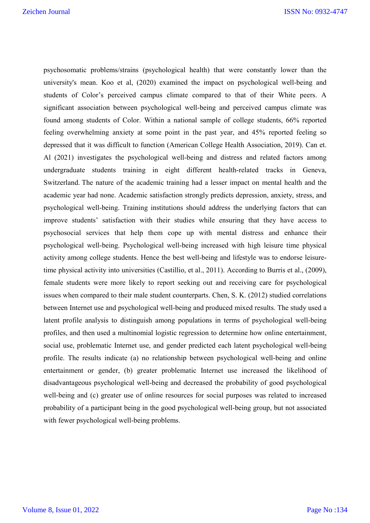psychosomatic problems/strains (psychological health) that were constantly lower than the university's mean. Koo et al, (2020) examined the impact on psychological well-being and students of Color's perceived campus climate compared to that of their White peers. A significant association between psychological well-being and perceived campus climate was found among students of Color. Within a national sample of college students, 66% reported feeling overwhelming anxiety at some point in the past year, and 45% reported feeling so depressed that it was difficult to function (American College Health Association, 2019). Can et. Al (2021) investigates the psychological well-being and distress and related factors among undergraduate students training in eight different health-related tracks in Geneva, Switzerland. The nature of the academic training had a lesser impact on mental health and the academic year had none. Academic satisfaction strongly predicts depression, anxiety, stress, and psychological well-being. Training institutions should address the underlying factors that can improve students' satisfaction with their studies while ensuring that they have access to psychosocial services that help them cope up with mental distress and enhance their psychological well-being. Psychological well-being increased with high leisure time physical activity among college students. Hence the best well-being and lifestyle was to endorse leisuretime physical activity into universities (Castillio, et al., 2011). According to Burris et al., (2009), female students were more likely to report seeking out and receiving care for psychological issues when compared to their male student counterparts. Chen, S. K. (2012) studied correlations between Internet use and psychological well-being and produced mixed results. The study used a latent profile analysis to distinguish among populations in terms of psychological well-being profiles, and then used a multinomial logistic regression to determine how online entertainment, social use, problematic Internet use, and gender predicted each latent psychological well-being profile. The results indicate (a) no relationship between psychological well-being and online entertainment or gender, (b) greater problematic Internet use increased the likelihood of disadvantageous psychological well-being and decreased the probability of good psychological well-being and (c) greater use of online resources for social purposes was related to increased probability of a participant being in the good psychological well-being group, but not associated with fewer psychological well-being problems.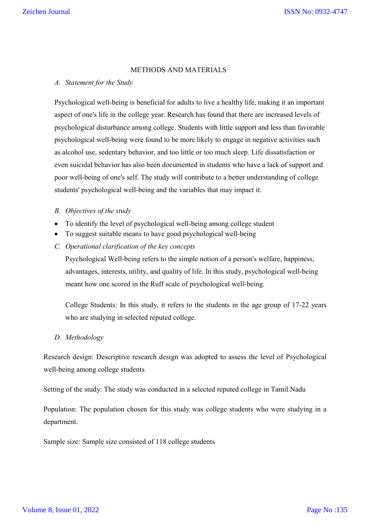## METHODS AND MATERIALS

### *A. Statement for the Study*

Psychological well-being is beneficial for adults to live a healthy life, making it an important aspect of one's life in the college year. Research has found that there are increased levels of psychological disturbance among college. Students with little support and less than favorable psychological well-being were found to be more likely to engage in negative activities such as alcohol use, sedentary behavior, and too little or too much sleep. Life dissatisfaction or even suicidal behavior has also been documented in students who have a lack of support and poor well-being of one's self. The study will contribute to a better understanding of college students' psychological well-being and the variables that may impact it.

## *B. Objectives of the study*

- To identify the level of psychological well-being among college student
- To suggest suitable means to have good psychological well-being
- *C. Operational clarification of the key concepts*

Psychological Well-being refers to the simple notion of a person's welfare, happiness, advantages, interests, utility, and quality of life. In this study, psychological well-being meant how one scored in the Ruff scale of psychological well-being.

College Students: In this study, it refers to the students in the age group of 17-22 years who are studying in selected reputed college.

# *D. Methodology*

Research design: Descriptive research design was adopted to assess the level of Psychological well-being among college students

Setting of the study: The study was conducted in a selected reputed college in Tamil Nadu

Population: The population chosen for this study was college students who were studying in a department.

Sample size: Sample size consisted of 118 college students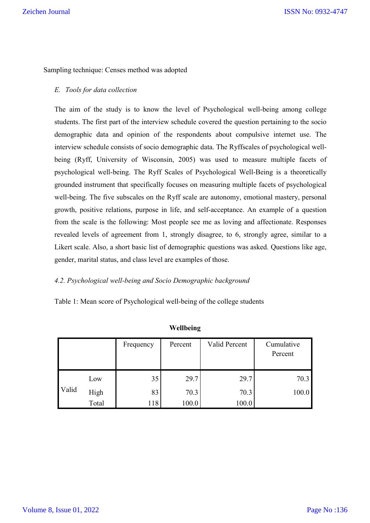Sampling technique: Censes method was adopted

## *E. Tools for data collection*

The aim of the study is to know the level of Psychological well-being among college students. The first part of the interview schedule covered the question pertaining to the socio demographic data and opinion of the respondents about compulsive internet use. The interview schedule consists of socio demographic data. The Ryffscales of psychological wellbeing (Ryff, University of Wisconsin, 2005) was used to measure multiple facets of psychological well-being. The Ryff Scales of Psychological Well-Being is a theoretically grounded instrument that specifically focuses on measuring multiple facets of psychological well-being. The five subscales on the Ryff scale are autonomy, emotional mastery, personal growth, positive relations, purpose in life, and self-acceptance. An example of a question from the scale is the following: Most people see me as loving and affectionate. Responses revealed levels of agreement from 1, strongly disagree, to 6, strongly agree, similar to a Likert scale. Also, a short basic list of demographic questions was asked. Questions like age, gender, marital status, and class level are examples of those.

### *4.2. Psychological well-being and Socio Demographic background*

Table 1: Mean score of Psychological well-being of the college students

|       |       | Frequency | Percent | Valid Percent | Cumulative<br>Percent |
|-------|-------|-----------|---------|---------------|-----------------------|
| Valid | Low   | 35        | 29.7    | 29.7          | 70.3                  |
|       | High  | 83        | 70.3    | 70.3          | 100.0                 |
|       | Total | 118       | 100.0   | 100.0         |                       |

# **Wellbeing**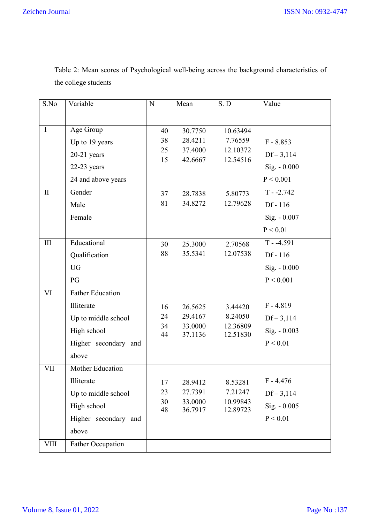| S.No         | Variable                 | N        | Mean                                             | S. D                 | Value          |
|--------------|--------------------------|----------|--------------------------------------------------|----------------------|----------------|
|              |                          |          |                                                  |                      |                |
| $\mathbf I$  | Age Group                | 40       | 30.7750                                          | 10.63494             |                |
|              | Up to 19 years           | 38       | 28.4211                                          | 7.76559              | $F - 8.853$    |
|              | $20-21$ years            | 25       | 37.4000<br>12.10372<br>15<br>42.6667<br>12.54516 |                      | $Df - 3,114$   |
|              | $22-23$ years            |          |                                                  |                      | $Sig. - 0.000$ |
|              | 24 and above years       |          |                                                  |                      | P < 0.001      |
| $\mathbf{I}$ | Gender                   | 37       | 28.7838                                          | 5.80773              | $T - 2.742$    |
|              | Male                     | 81       | 34.8272                                          | 12.79628             | Df - 116       |
|              | Female                   |          |                                                  |                      | Sig. - 0.007   |
|              |                          |          |                                                  |                      | P < 0.01       |
| $III$        | Educational              | 30       | 25.3000                                          | 2.70568              | $T - -4.591$   |
|              | Qualification            | 88       | 35.5341                                          | 12.07538             | Df - 116       |
|              | <b>UG</b>                |          |                                                  |                      | $Sig. - 0.000$ |
|              | PG                       |          |                                                  |                      | P < 0.001      |
| VI           | <b>Father Education</b>  |          |                                                  |                      |                |
|              |                          |          |                                                  |                      |                |
|              | Illiterate               | 16       | 26.5625                                          | 3.44420              | $F - 4.819$    |
|              | Up to middle school      | 24<br>34 | 29.4167<br>33.0000                               | 8.24050<br>12.36809  | $Df - 3,114$   |
|              | High school              | 44       | 37.1136                                          | 12.51830             | Sig. - 0.003   |
|              | Higher secondary and     |          |                                                  |                      | P < 0.01       |
|              | above                    |          |                                                  |                      |                |
| <b>VII</b>   | Mother Education         |          |                                                  |                      |                |
|              | Illiterate               | 17       | 28.9412                                          | 8.53281              | $F - 4.476$    |
|              | Up to middle school      | 23       | 27.7391                                          | 7.21247              | $Df - 3,114$   |
|              | High school              | 30<br>48 | 33.0000<br>36.7917                               | 10.99843<br>12.89723 | $Sig. - 0.005$ |
|              | Higher secondary and     |          |                                                  |                      | P < 0.01       |
|              | above                    |          |                                                  |                      |                |
| <b>VIII</b>  | <b>Father Occupation</b> |          |                                                  |                      |                |
|              |                          |          |                                                  |                      |                |

Table 2: Mean scores of Psychological well-being across the background characteristics of the college students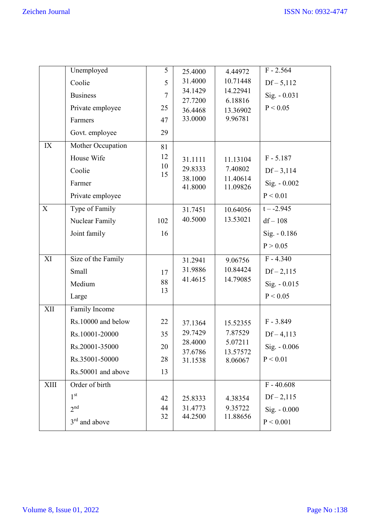|                           | Unemployed         | 5        | 25.4000            | 4.44972              | $F - 2.564$    |
|---------------------------|--------------------|----------|--------------------|----------------------|----------------|
|                           | Coolie             | 5        | 31.4000            | 10.71448             | $Df - 5,112$   |
|                           | <b>Business</b>    | 7        | 34.1429<br>27.7200 | 14.22941<br>6.18816  | Sig. - 0.031   |
|                           | Private employee   | 25       | 36.4468            | 13.36902             | P < 0.05       |
|                           | Farmers            | 47       | 33.0000            | 9.96781              |                |
|                           | Govt. employee     | 29       |                    |                      |                |
| IX                        | Mother Occupation  | 81       |                    |                      |                |
|                           | House Wife         | 12       | 31.1111            | 11.13104             | $F - 5.187$    |
|                           | Coolie             | 10<br>15 | 29.8333            | 7.40802              | $Df - 3,114$   |
|                           | Farmer             |          | 38.1000<br>41.8000 | 11.40614<br>11.09826 | Sig. - 0.002   |
|                           | Private employee   |          |                    |                      | P < 0.01       |
| $\boldsymbol{\mathrm{X}}$ | Type of Family     |          | 31.7451            | 10.64056             | $t - -2.945$   |
|                           | Nuclear Family     | 102      | 40.5000            | 13.53021             | $df - 108$     |
|                           | Joint family       | 16       |                    |                      | Sig. - 0.186   |
|                           |                    |          |                    |                      | P > 0.05       |
| XI                        | Size of the Family |          | 31.2941            | 9.06756              | $F - 4.340$    |
|                           | Small              | 17       | 31.9886            | 10.84424             | $Df - 2,115$   |
|                           | Medium             | 88       | 41.4615            | 14.79085             | Sig. - 0.015   |
|                           | Large              | 13       |                    |                      | P < 0.05       |
| XII                       | Family Income      |          |                    |                      |                |
|                           | Rs.10000 and below | 22       | 37.1364            | 15.52355             | $F - 3.849$    |
|                           | Rs.10001-20000     | 35       | 29.7429            | 7.87529              | $Df - 4,113$   |
|                           | Rs.20001-35000     | 20       | 28.4000            | 5.07211              | $Sig. - 0.006$ |
|                           | Rs.35001-50000     | 28       | 37.6786<br>31.1538 | 13.57572<br>8.06067  | P < 0.01       |
|                           | Rs.50001 and above | 13       |                    |                      |                |
| XIII                      | Order of birth     |          |                    |                      | $F - 40.608$   |
|                           | 1 <sup>st</sup>    | 42       | 25.8333            | 4.38354              | $Df - 2,115$   |
|                           | 2 <sup>nd</sup>    | 44       | 31.4773            | 9.35722              | $Sig. - 0.000$ |
|                           | $3rd$ and above    | 32       | 44.2500            | 11.88656             | P < 0.001      |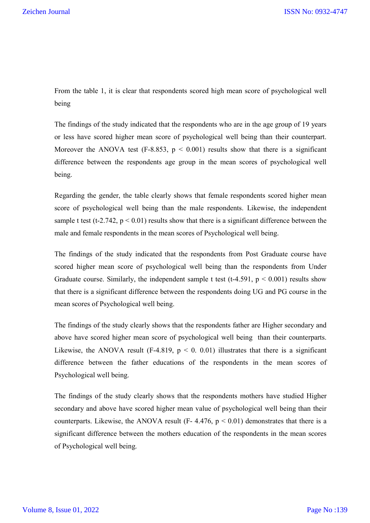From the table 1, it is clear that respondents scored high mean score of psychological well being

The findings of the study indicated that the respondents who are in the age group of 19 years or less have scored higher mean score of psychological well being than their counterpart. Moreover the ANOVA test (F-8.853,  $p \le 0.001$ ) results show that there is a significant difference between the respondents age group in the mean scores of psychological well being.

Regarding the gender, the table clearly shows that female respondents scored higher mean score of psychological well being than the male respondents. Likewise, the independent sample t test (t-2.742,  $p < 0.01$ ) results show that there is a significant difference between the male and female respondents in the mean scores of Psychological well being.

The findings of the study indicated that the respondents from Post Graduate course have scored higher mean score of psychological well being than the respondents from Under Graduate course. Similarly, the independent sample t test (t-4.591,  $p < 0.001$ ) results show that there is a significant difference between the respondents doing UG and PG course in the mean scores of Psychological well being.

The findings of the study clearly shows that the respondents father are Higher secondary and above have scored higher mean score of psychological well being than their counterparts. Likewise, the ANOVA result (F-4.819,  $p \le 0$ , 0.01) illustrates that there is a significant difference between the father educations of the respondents in the mean scores of Psychological well being.

The findings of the study clearly shows that the respondents mothers have studied Higher secondary and above have scored higher mean value of psychological well being than their counterparts. Likewise, the ANOVA result (F- 4.476,  $p < 0.01$ ) demonstrates that there is a significant difference between the mothers education of the respondents in the mean scores of Psychological well being.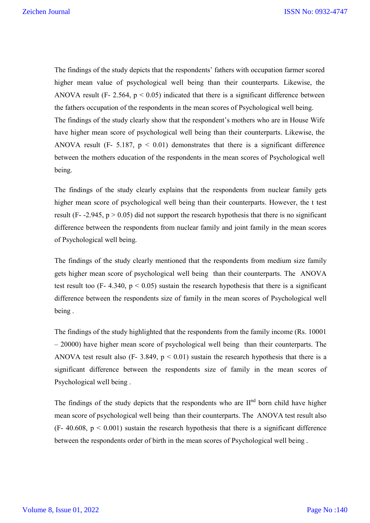The findings of the study depicts that the respondents' fathers with occupation farmer scored higher mean value of psychological well being than their counterparts. Likewise, the ANOVA result (F- 2.564,  $p < 0.05$ ) indicated that there is a significant difference between the fathers occupation of the respondents in the mean scores of Psychological well being. The findings of the study clearly show that the respondent's mothers who are in House Wife have higher mean score of psychological well being than their counterparts. Likewise, the ANOVA result (F- 5.187,  $p < 0.01$ ) demonstrates that there is a significant difference between the mothers education of the respondents in the mean scores of Psychological well being.

The findings of the study clearly explains that the respondents from nuclear family gets higher mean score of psychological well being than their counterparts. However, the t test result (F- -2.945,  $p > 0.05$ ) did not support the research hypothesis that there is no significant difference between the respondents from nuclear family and joint family in the mean scores of Psychological well being.

The findings of the study clearly mentioned that the respondents from medium size family gets higher mean score of psychological well being than their counterparts. The ANOVA test result too (F- 4.340,  $p < 0.05$ ) sustain the research hypothesis that there is a significant difference between the respondents size of family in the mean scores of Psychological well being .

The findings of the study highlighted that the respondents from the family income (Rs. 10001 – 20000) have higher mean score of psychological well being than their counterparts. The ANOVA test result also (F- 3.849,  $p < 0.01$ ) sustain the research hypothesis that there is a significant difference between the respondents size of family in the mean scores of Psychological well being .

The findings of the study depicts that the respondents who are  $II<sup>nd</sup>$  born child have higher mean score of psychological well being than their counterparts. The ANOVA test result also  $(F- 40.608, p < 0.001)$  sustain the research hypothesis that there is a significant difference between the respondents order of birth in the mean scores of Psychological well being .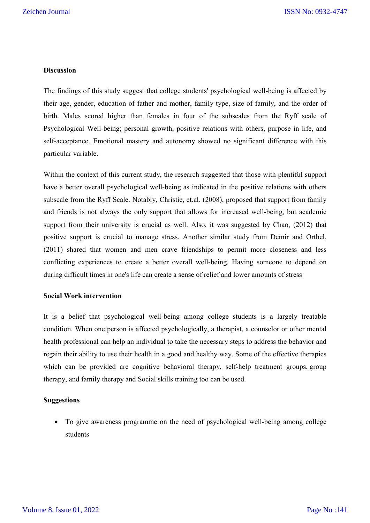## **Discussion**

The findings of this study suggest that college students' psychological well-being is affected by their age, gender, education of father and mother, family type, size of family, and the order of birth. Males scored higher than females in four of the subscales from the Ryff scale of Psychological Well-being; personal growth, positive relations with others, purpose in life, and self-acceptance. Emotional mastery and autonomy showed no significant difference with this particular variable.

Within the context of this current study, the research suggested that those with plentiful support have a better overall psychological well-being as indicated in the positive relations with others subscale from the Ryff Scale. Notably, Christie, et.al. (2008), proposed that support from family and friends is not always the only support that allows for increased well-being, but academic support from their university is crucial as well. Also, it was suggested by Chao, (2012) that positive support is crucial to manage stress. Another similar study from Demir and Orthel, (2011) shared that women and men crave friendships to permit more closeness and less conflicting experiences to create a better overall well-being. Having someone to depend on during difficult times in one's life can create a sense of relief and lower amounts of stress

# **Social Work intervention**

It is a belief that psychological well-being among college students is a largely treatable condition. When one person is affected psychologically, a therapist, a counselor or other mental health professional can help an individual to take the necessary steps to address the behavior and regain their ability to use their health in a good and healthy way. Some of the effective therapies which can be provided are cognitive behavioral therapy, self-help treatment groups, group therapy, and family therapy and Social skills training too can be used.

### **Suggestions**

 To give awareness programme on the need of psychological well-being among college students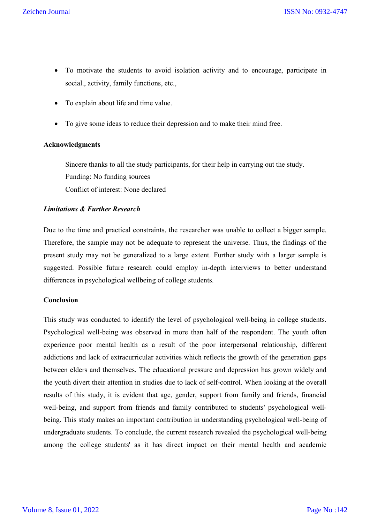- To motivate the students to avoid isolation activity and to encourage, participate in social., activity, family functions, etc.,
- To explain about life and time value.
- To give some ideas to reduce their depression and to make their mind free.

## **Acknowledgments**

Sincere thanks to all the study participants, for their help in carrying out the study. Funding: No funding sources Conflict of interest: None declared

# *Limitations & Further Research*

Due to the time and practical constraints, the researcher was unable to collect a bigger sample. Therefore, the sample may not be adequate to represent the universe. Thus, the findings of the present study may not be generalized to a large extent. Further study with a larger sample is suggested. Possible future research could employ in-depth interviews to better understand differences in psychological wellbeing of college students.

### **Conclusion**

This study was conducted to identify the level of psychological well-being in college students. Psychological well-being was observed in more than half of the respondent. The youth often experience poor mental health as a result of the poor interpersonal relationship, different addictions and lack of extracurricular activities which reflects the growth of the generation gaps between elders and themselves. The educational pressure and depression has grown widely and the youth divert their attention in studies due to lack of self-control. When looking at the overall results of this study, it is evident that age, gender, support from family and friends, financial well-being, and support from friends and family contributed to students' psychological wellbeing. This study makes an important contribution in understanding psychological well-being of undergraduate students. To conclude, the current research revealed the psychological well-being among the college students' as it has direct impact on their mental health and academic